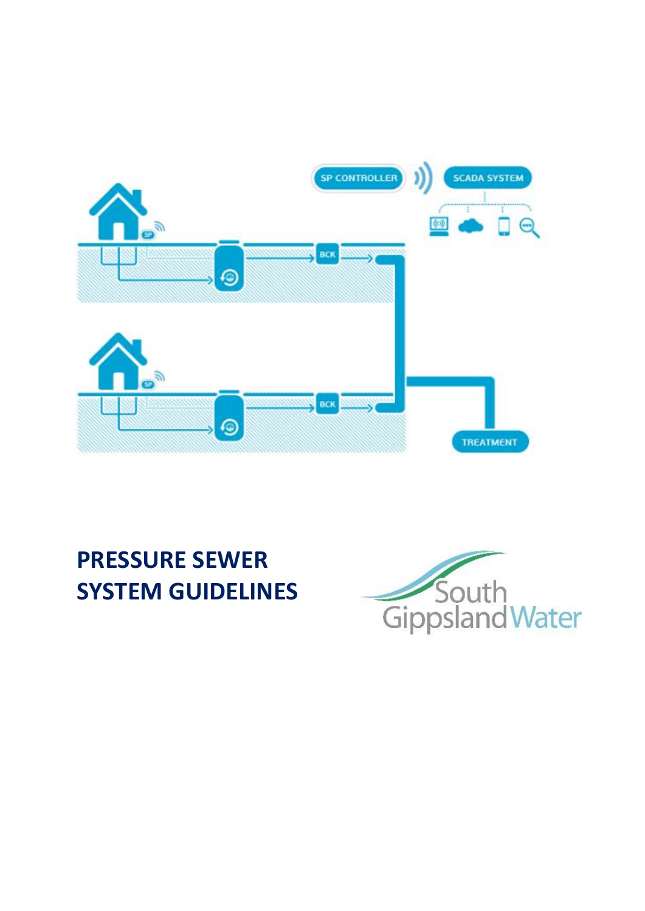

# **PRESSURE SEWER SYSTEM GUIDELINES**

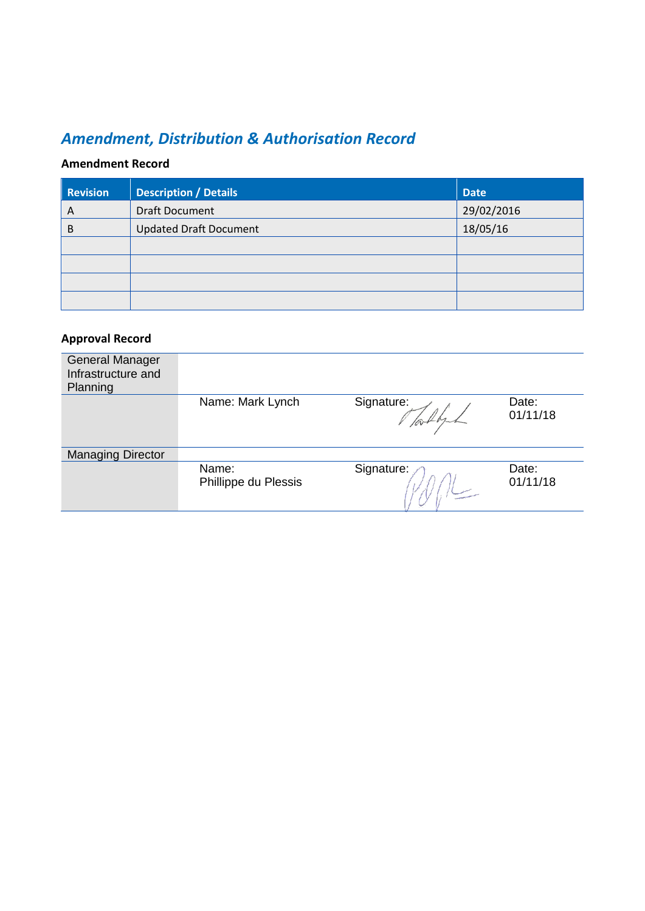### *Amendment, Distribution & Authorisation Record*

### **Amendment Record**

| <b>Revision</b> | <b>Description / Details</b>  | <b>Date</b> |
|-----------------|-------------------------------|-------------|
| A               | <b>Draft Document</b>         | 29/02/2016  |
| B               | <b>Updated Draft Document</b> | 18/05/16    |
|                 |                               |             |
|                 |                               |             |
|                 |                               |             |
|                 |                               |             |

#### **Approval Record**

| <b>General Manager</b><br>Infrastructure and<br>Planning |                               |            |                   |
|----------------------------------------------------------|-------------------------------|------------|-------------------|
|                                                          | Name: Mark Lynch              | Signature: | Date:<br>01/11/18 |
| <b>Managing Director</b>                                 |                               |            |                   |
|                                                          | Name:<br>Phillippe du Plessis | Signature: | Date:<br>01/11/18 |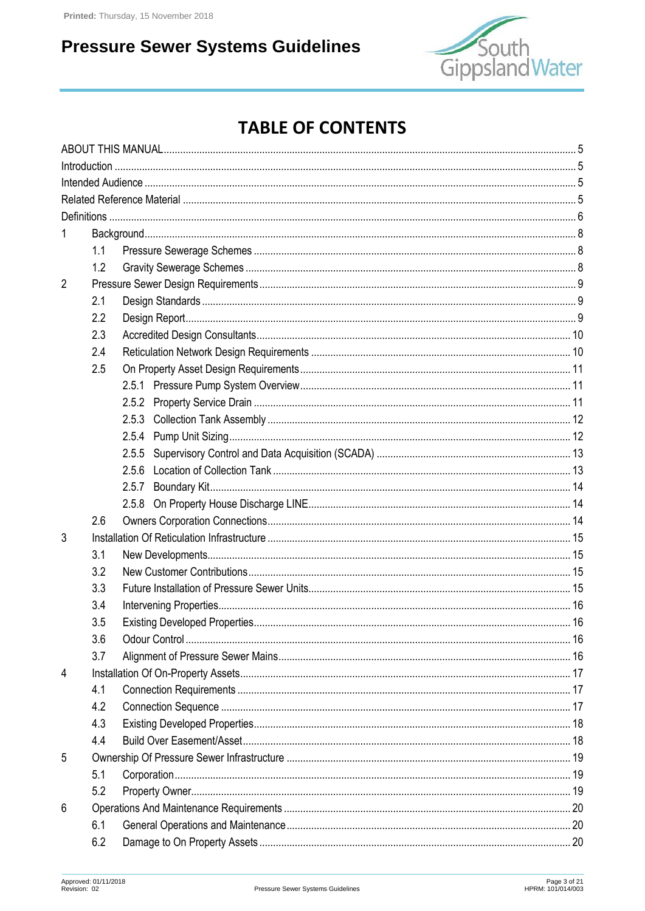

## **TABLE OF CONTENTS**

|                | 1.1 |                               |    |
|----------------|-----|-------------------------------|----|
|                | 1.2 |                               |    |
| $\overline{2}$ |     |                               |    |
|                | 2.1 |                               |    |
|                | 2.2 |                               |    |
|                | 2.3 |                               |    |
|                | 2.4 |                               |    |
|                | 2.5 |                               |    |
|                |     |                               |    |
|                |     | 2.5.2                         |    |
|                |     | 2.5.3                         |    |
|                |     |                               |    |
|                |     | 2.5.5                         |    |
|                |     |                               |    |
|                |     | 2.5.7                         |    |
|                |     | 2.5.8                         |    |
|                | 2.6 |                               |    |
| 3              |     |                               |    |
|                | 3.1 |                               |    |
|                | 3.2 |                               |    |
|                | 3.3 |                               |    |
|                | 3.4 |                               |    |
|                | 35  | Existing Developed Properties | 16 |
|                | 3.6 |                               |    |
|                | 3.7 |                               |    |
| 4              |     |                               |    |
|                | 4.1 |                               |    |
|                | 4.2 |                               |    |
|                | 4.3 |                               |    |
|                | 4.4 |                               |    |
| 5              |     |                               |    |
|                | 5.1 |                               |    |
|                | 5.2 |                               |    |
| 6              |     |                               |    |
|                | 6.1 |                               |    |
|                | 6.2 |                               |    |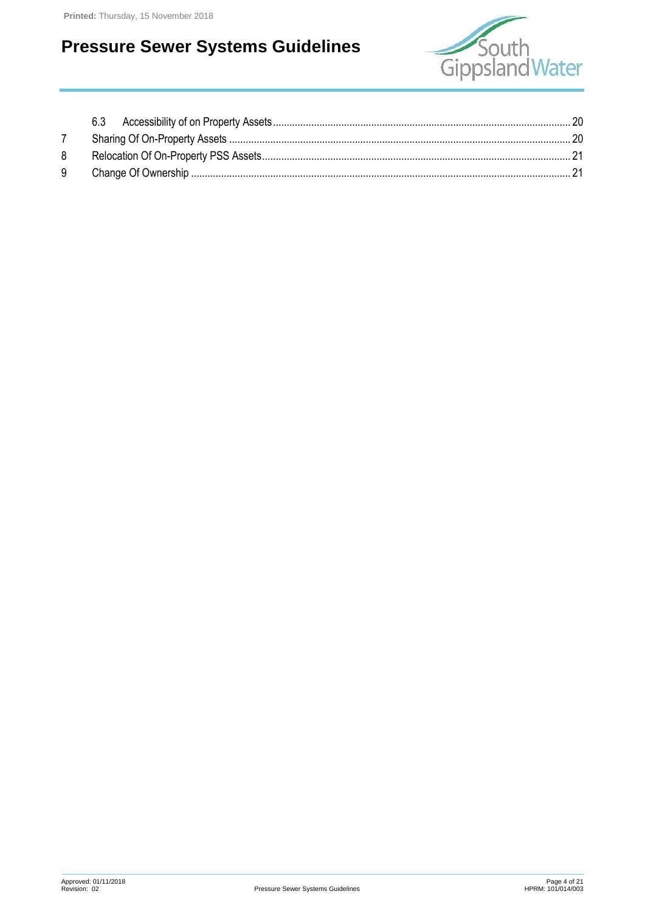

| 8 |  |
|---|--|
| 9 |  |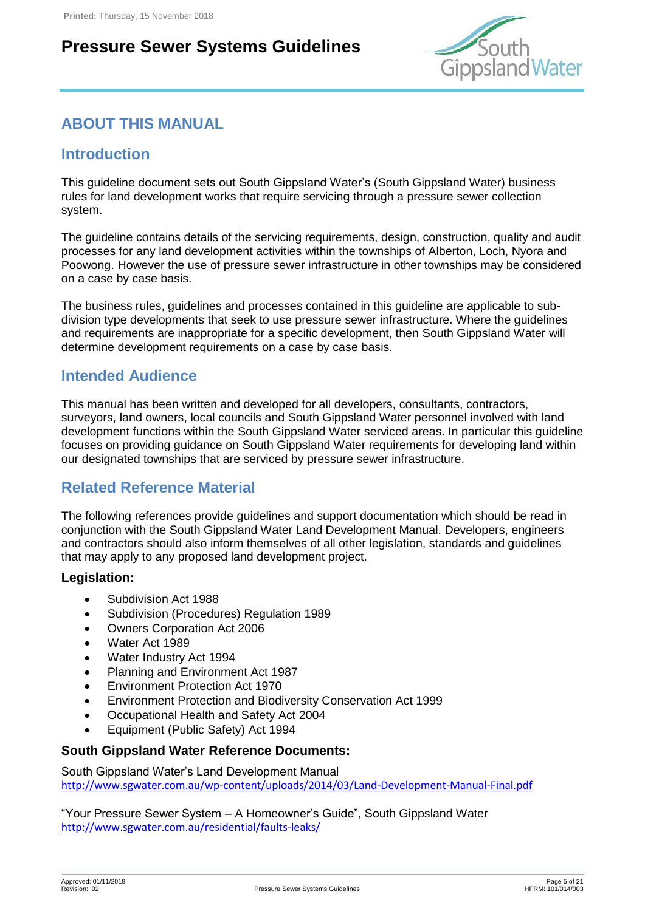

### <span id="page-4-0"></span>**ABOUT THIS MANUAL**

### <span id="page-4-1"></span>**Introduction**

This guideline document sets out South Gippsland Water's (South Gippsland Water) business rules for land development works that require servicing through a pressure sewer collection system.

The guideline contains details of the servicing requirements, design, construction, quality and audit processes for any land development activities within the townships of Alberton, Loch, Nyora and Poowong. However the use of pressure sewer infrastructure in other townships may be considered on a case by case basis.

The business rules, guidelines and processes contained in this guideline are applicable to subdivision type developments that seek to use pressure sewer infrastructure. Where the guidelines and requirements are inappropriate for a specific development, then South Gippsland Water will determine development requirements on a case by case basis.

### <span id="page-4-2"></span>**Intended Audience**

This manual has been written and developed for all developers, consultants, contractors, surveyors, land owners, local councils and South Gippsland Water personnel involved with land development functions within the South Gippsland Water serviced areas. In particular this guideline focuses on providing guidance on South Gippsland Water requirements for developing land within our designated townships that are serviced by pressure sewer infrastructure.

### <span id="page-4-3"></span>**Related Reference Material**

The following references provide guidelines and support documentation which should be read in conjunction with the South Gippsland Water Land Development Manual. Developers, engineers and contractors should also inform themselves of all other legislation, standards and guidelines that may apply to any proposed land development project.

#### **Legislation:**

- Subdivision Act 1988
- Subdivision (Procedures) Regulation 1989
- Owners Corporation Act 2006
- Water Act 1989
- Water Industry Act 1994
- Planning and Environment Act 1987
- Environment Protection Act 1970
- Environment Protection and Biodiversity Conservation Act 1999
- Occupational Health and Safety Act 2004
- Equipment (Public Safety) Act 1994

#### **South Gippsland Water Reference Documents:**

South Gippsland Water's Land Development Manual <http://www.sgwater.com.au/wp-content/uploads/2014/03/Land-Development-Manual-Final.pdf>

"Your Pressure Sewer System – A Homeowner's Guide", South Gippsland Water <http://www.sgwater.com.au/residential/faults-leaks/>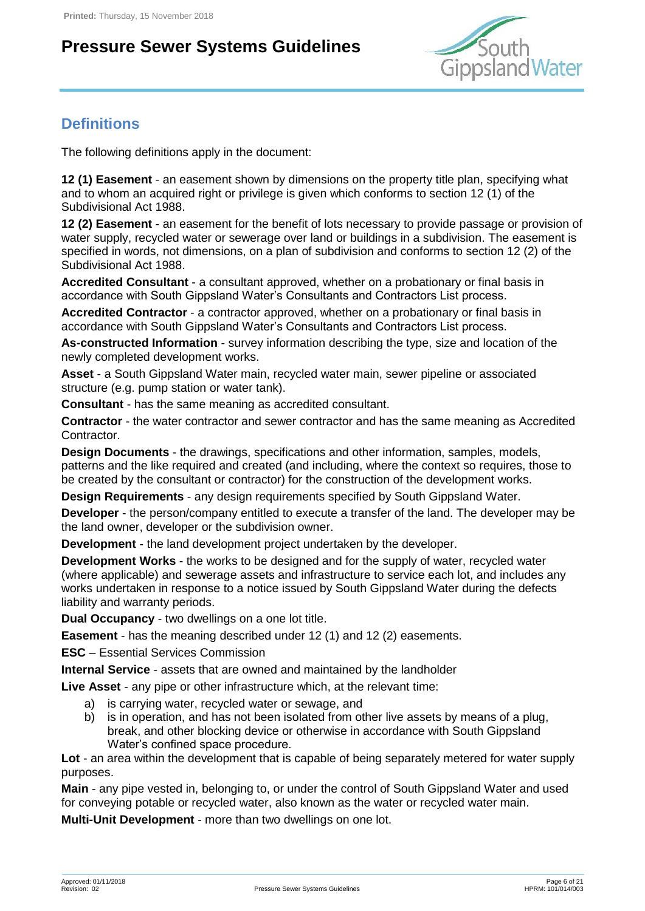

### <span id="page-5-0"></span>**Definitions**

The following definitions apply in the document:

**12 (1) Easement** - an easement shown by dimensions on the property title plan, specifying what and to whom an acquired right or privilege is given which conforms to section 12 (1) of the Subdivisional Act 1988.

**12 (2) Easement** - an easement for the benefit of lots necessary to provide passage or provision of water supply, recycled water or sewerage over land or buildings in a subdivision. The easement is specified in words, not dimensions, on a plan of subdivision and conforms to section 12 (2) of the Subdivisional Act 1988.

**Accredited Consultant** - a consultant approved, whether on a probationary or final basis in accordance with South Gippsland Water's Consultants and Contractors List process.

**Accredited Contractor** - a contractor approved, whether on a probationary or final basis in accordance with South Gippsland Water's Consultants and Contractors List process.

**As-constructed Information** - survey information describing the type, size and location of the newly completed development works.

**Asset** - a South Gippsland Water main, recycled water main, sewer pipeline or associated structure (e.g. pump station or water tank).

**Consultant** - has the same meaning as accredited consultant.

**Contractor** - the water contractor and sewer contractor and has the same meaning as Accredited Contractor.

**Design Documents** - the drawings, specifications and other information, samples, models, patterns and the like required and created (and including, where the context so requires, those to be created by the consultant or contractor) for the construction of the development works.

**Design Requirements** - any design requirements specified by South Gippsland Water.

**Developer** - the person/company entitled to execute a transfer of the land. The developer may be the land owner, developer or the subdivision owner.

**Development** - the land development project undertaken by the developer.

**Development Works** - the works to be designed and for the supply of water, recycled water (where applicable) and sewerage assets and infrastructure to service each lot, and includes any works undertaken in response to a notice issued by South Gippsland Water during the defects liability and warranty periods.

**Dual Occupancy** - two dwellings on a one lot title.

**Easement** - has the meaning described under 12 (1) and 12 (2) easements.

**ESC** – Essential Services Commission

**Internal Service** - assets that are owned and maintained by the landholder

**Live Asset** - any pipe or other infrastructure which, at the relevant time:

- a) is carrying water, recycled water or sewage, and
- b) is in operation, and has not been isolated from other live assets by means of a plug, break, and other blocking device or otherwise in accordance with South Gippsland Water's confined space procedure.

**Lot** - an area within the development that is capable of being separately metered for water supply purposes.

**Main** - any pipe vested in, belonging to, or under the control of South Gippsland Water and used for conveying potable or recycled water, also known as the water or recycled water main.

**Multi-Unit Development** - more than two dwellings on one lot.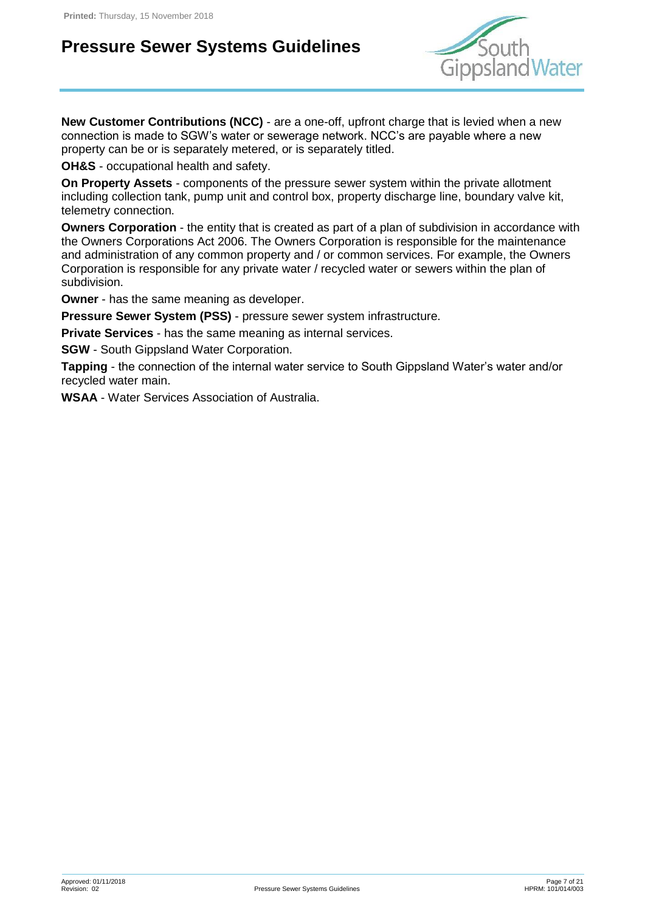

**New Customer Contributions (NCC)** - are a one-off, upfront charge that is levied when a new connection is made to SGW's water or sewerage network. NCC's are payable where a new property can be or is separately metered, or is separately titled.

**OH&S** - occupational health and safety.

**On Property Assets** - components of the pressure sewer system within the private allotment including collection tank, pump unit and control box, property discharge line, boundary valve kit, telemetry connection.

**Owners Corporation** - the entity that is created as part of a plan of subdivision in accordance with the Owners Corporations Act 2006. The Owners Corporation is responsible for the maintenance and administration of any common property and / or common services. For example, the Owners Corporation is responsible for any private water / recycled water or sewers within the plan of subdivision.

**Owner** - has the same meaning as developer.

**Pressure Sewer System (PSS)** - pressure sewer system infrastructure.

**Private Services** - has the same meaning as internal services.

**SGW** - South Gippsland Water Corporation.

**Tapping** - the connection of the internal water service to South Gippsland Water's water and/or recycled water main.

**WSAA** - Water Services Association of Australia.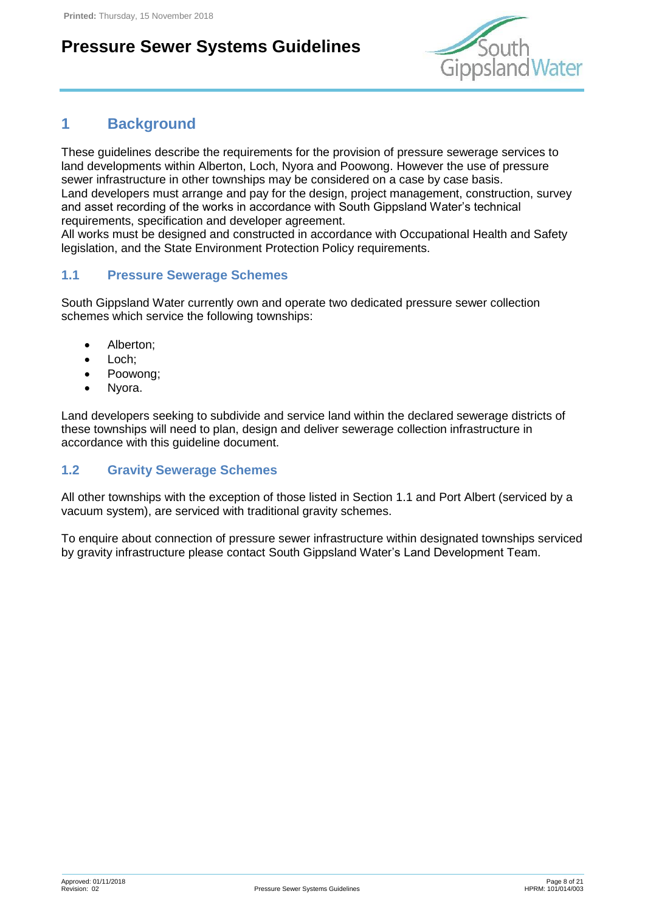

### <span id="page-7-0"></span>**1 Background**

These guidelines describe the requirements for the provision of pressure sewerage services to land developments within Alberton, Loch, Nyora and Poowong. However the use of pressure sewer infrastructure in other townships may be considered on a case by case basis. Land developers must arrange and pay for the design, project management, construction, survey and asset recording of the works in accordance with South Gippsland Water's technical requirements, specification and developer agreement.

All works must be designed and constructed in accordance with Occupational Health and Safety legislation, and the State Environment Protection Policy requirements.

#### <span id="page-7-1"></span>**1.1 Pressure Sewerage Schemes**

South Gippsland Water currently own and operate two dedicated pressure sewer collection schemes which service the following townships:

- Alberton;
- Loch:
- Poowong:
- Nyora.

Land developers seeking to subdivide and service land within the declared sewerage districts of these townships will need to plan, design and deliver sewerage collection infrastructure in accordance with this guideline document.

#### <span id="page-7-2"></span>**1.2 Gravity Sewerage Schemes**

All other townships with the exception of those listed in Section [1.1](#page-7-1) and Port Albert (serviced by a vacuum system), are serviced with traditional gravity schemes.

To enquire about connection of pressure sewer infrastructure within designated townships serviced by gravity infrastructure please contact South Gippsland Water's Land Development Team.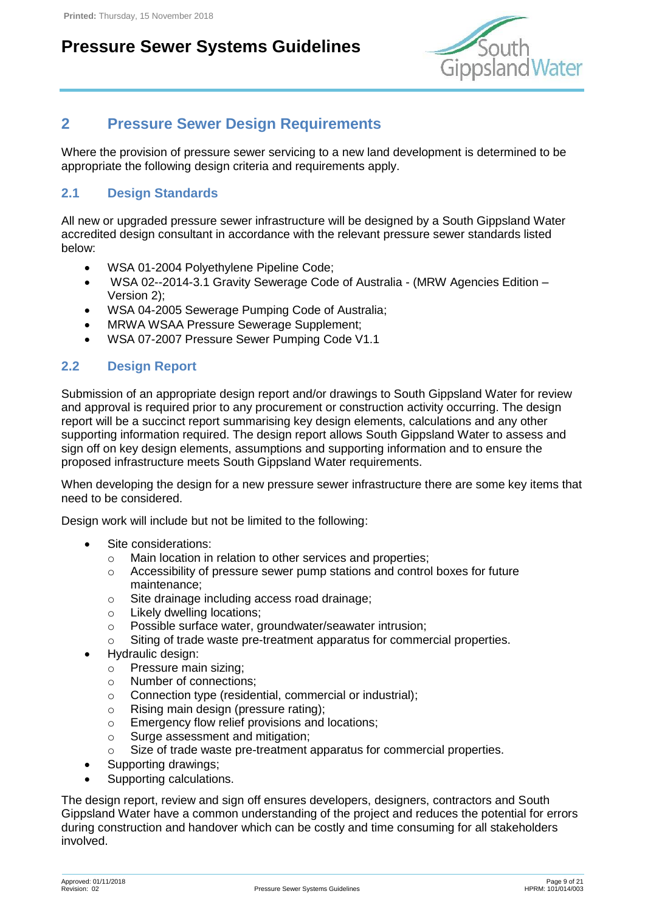

### <span id="page-8-0"></span>**2 Pressure Sewer Design Requirements**

Where the provision of pressure sewer servicing to a new land development is determined to be appropriate the following design criteria and requirements apply.

#### <span id="page-8-1"></span>**2.1 Design Standards**

All new or upgraded pressure sewer infrastructure will be designed by a South Gippsland Water accredited design consultant in accordance with the relevant pressure sewer standards listed below:

- WSA 01-2004 Polyethylene Pipeline Code;
- WSA 02--2014-3.1 Gravity Sewerage Code of Australia (MRW Agencies Edition Version 2);
- WSA 04-2005 Sewerage Pumping Code of Australia;
- MRWA WSAA Pressure Sewerage Supplement:
- WSA 07-2007 Pressure Sewer Pumping Code V1.1

#### <span id="page-8-2"></span>**2.2 Design Report**

Submission of an appropriate design report and/or drawings to South Gippsland Water for review and approval is required prior to any procurement or construction activity occurring. The design report will be a succinct report summarising key design elements, calculations and any other supporting information required. The design report allows South Gippsland Water to assess and sign off on key design elements, assumptions and supporting information and to ensure the proposed infrastructure meets South Gippsland Water requirements.

When developing the design for a new pressure sewer infrastructure there are some key items that need to be considered.

Design work will include but not be limited to the following:

- Site considerations:
	- o Main location in relation to other services and properties;
	- $\circ$  Accessibility of pressure sewer pump stations and control boxes for future maintenance;
	- o Site drainage including access road drainage;
	- o Likely dwelling locations;
	- o Possible surface water, groundwater/seawater intrusion;
	- o Siting of trade waste pre-treatment apparatus for commercial properties.
- Hydraulic design:
	- o Pressure main sizing;
	- o Number of connections;
	- o Connection type (residential, commercial or industrial);
	- o Rising main design (pressure rating);
	- o Emergency flow relief provisions and locations;
	- o Surge assessment and mitigation;
	- o Size of trade waste pre-treatment apparatus for commercial properties.
- Supporting drawings;
- Supporting calculations.

The design report, review and sign off ensures developers, designers, contractors and South Gippsland Water have a common understanding of the project and reduces the potential for errors during construction and handover which can be costly and time consuming for all stakeholders involved.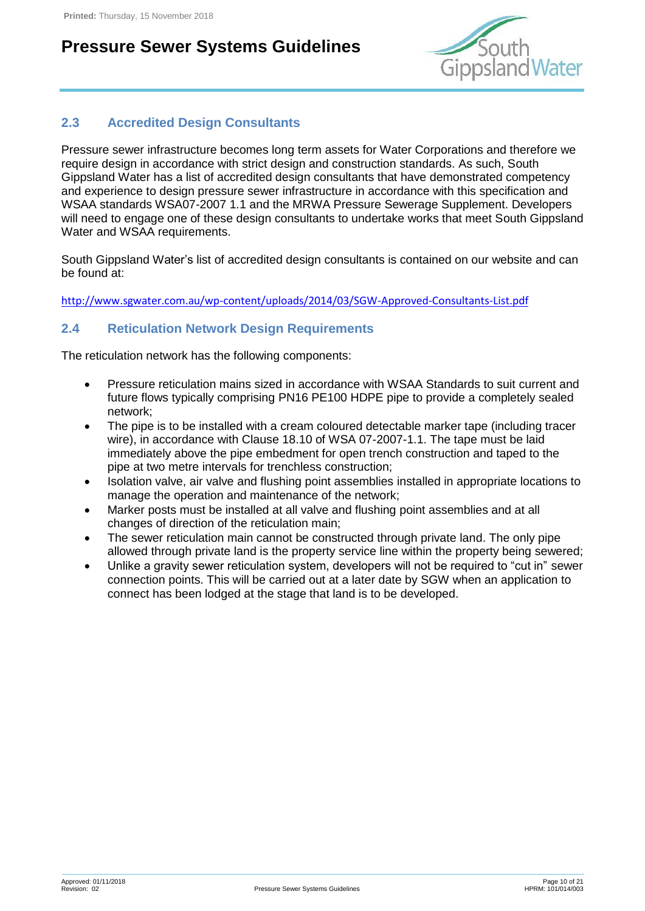

#### <span id="page-9-0"></span>**2.3 Accredited Design Consultants**

Pressure sewer infrastructure becomes long term assets for Water Corporations and therefore we require design in accordance with strict design and construction standards. As such, South Gippsland Water has a list of accredited design consultants that have demonstrated competency and experience to design pressure sewer infrastructure in accordance with this specification and WSAA standards WSA07-2007 1.1 and the MRWA Pressure Sewerage Supplement. Developers will need to engage one of these design consultants to undertake works that meet South Gippsland Water and WSAA requirements.

South Gippsland Water's list of accredited design consultants is contained on our website and can be found at:

<http://www.sgwater.com.au/wp-content/uploads/2014/03/SGW-Approved-Consultants-List.pdf>

#### <span id="page-9-1"></span>**2.4 Reticulation Network Design Requirements**

The reticulation network has the following components:

- Pressure reticulation mains sized in accordance with WSAA Standards to suit current and future flows typically comprising PN16 PE100 HDPE pipe to provide a completely sealed network;
- The pipe is to be installed with a cream coloured detectable marker tape (including tracer wire), in accordance with Clause 18.10 of WSA 07-2007-1.1. The tape must be laid immediately above the pipe embedment for open trench construction and taped to the pipe at two metre intervals for trenchless construction;
- Isolation valve, air valve and flushing point assemblies installed in appropriate locations to manage the operation and maintenance of the network;
- Marker posts must be installed at all valve and flushing point assemblies and at all changes of direction of the reticulation main;
- The sewer reticulation main cannot be constructed through private land. The only pipe allowed through private land is the property service line within the property being sewered;
- Unlike a gravity sewer reticulation system, developers will not be required to "cut in" sewer connection points. This will be carried out at a later date by SGW when an application to connect has been lodged at the stage that land is to be developed.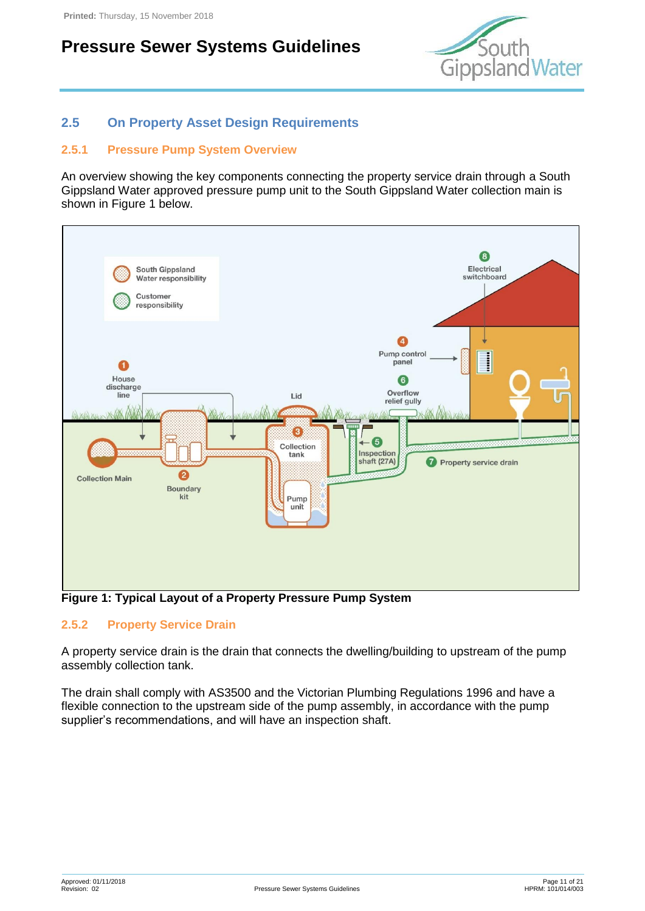

#### <span id="page-10-0"></span>**2.5 On Property Asset Design Requirements**

#### <span id="page-10-1"></span>**2.5.1 Pressure Pump System Overview**

An overview showing the key components connecting the property service drain through a South Gippsland Water approved pressure pump unit to the South Gippsland Water collection main is shown in [Figure 1](#page-10-3) below.



<span id="page-10-3"></span>**Figure 1: Typical Layout of a Property Pressure Pump System**

#### <span id="page-10-2"></span>**2.5.2 Property Service Drain**

A property service drain is the drain that connects the dwelling/building to upstream of the pump assembly collection tank.

The drain shall comply with AS3500 and the Victorian Plumbing Regulations 1996 and have a flexible connection to the upstream side of the pump assembly, in accordance with the pump supplier's recommendations, and will have an inspection shaft.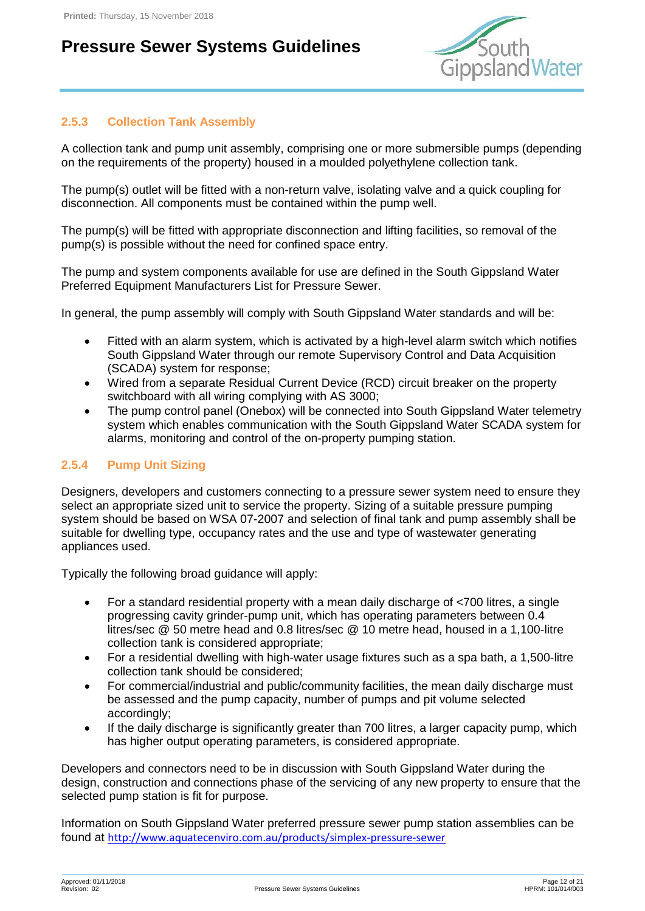

#### <span id="page-11-0"></span>**2.5.3 Collection Tank Assembly**

A collection tank and pump unit assembly, comprising one or more submersible pumps (depending on the requirements of the property) housed in a moulded polyethylene collection tank.

The pump(s) outlet will be fitted with a non-return valve, isolating valve and a quick coupling for disconnection. All components must be contained within the pump well.

The pump(s) will be fitted with appropriate disconnection and lifting facilities, so removal of the pump(s) is possible without the need for confined space entry.

The pump and system components available for use are defined in the South Gippsland Water Preferred Equipment Manufacturers List for Pressure Sewer.

In general, the pump assembly will comply with South Gippsland Water standards and will be:

- Fitted with an alarm system, which is activated by a high-level alarm switch which notifies South Gippsland Water through our remote Supervisory Control and Data Acquisition (SCADA) system for response;
- Wired from a separate Residual Current Device (RCD) circuit breaker on the property switchboard with all wiring complying with AS 3000;
- The pump control panel (Onebox) will be connected into South Gippsland Water telemetry system which enables communication with the South Gippsland Water SCADA system for alarms, monitoring and control of the on-property pumping station.

#### <span id="page-11-1"></span>**2.5.4 Pump Unit Sizing**

Designers, developers and customers connecting to a pressure sewer system need to ensure they select an appropriate sized unit to service the property. Sizing of a suitable pressure pumping system should be based on WSA 07-2007 and selection of final tank and pump assembly shall be suitable for dwelling type, occupancy rates and the use and type of wastewater generating appliances used.

Typically the following broad guidance will apply:

- For a standard residential property with a mean daily discharge of <700 litres, a single progressing cavity grinder-pump unit, which has operating parameters between 0.4 litres/sec @ 50 metre head and 0.8 litres/sec @ 10 metre head, housed in a 1,100-litre collection tank is considered appropriate;
- For a residential dwelling with high-water usage fixtures such as a spa bath, a 1,500-litre collection tank should be considered;
- For commercial/industrial and public/community facilities, the mean daily discharge must be assessed and the pump capacity, number of pumps and pit volume selected accordingly;
- If the daily discharge is significantly greater than 700 litres, a larger capacity pump, which has higher output operating parameters, is considered appropriate.

Developers and connectors need to be in discussion with South Gippsland Water during the design, construction and connections phase of the servicing of any new property to ensure that the selected pump station is fit for purpose.

Information on South Gippsland Water preferred pressure sewer pump station assemblies can be found at <http://www.aquatecenviro.com.au/products/simplex-pressure-sewer>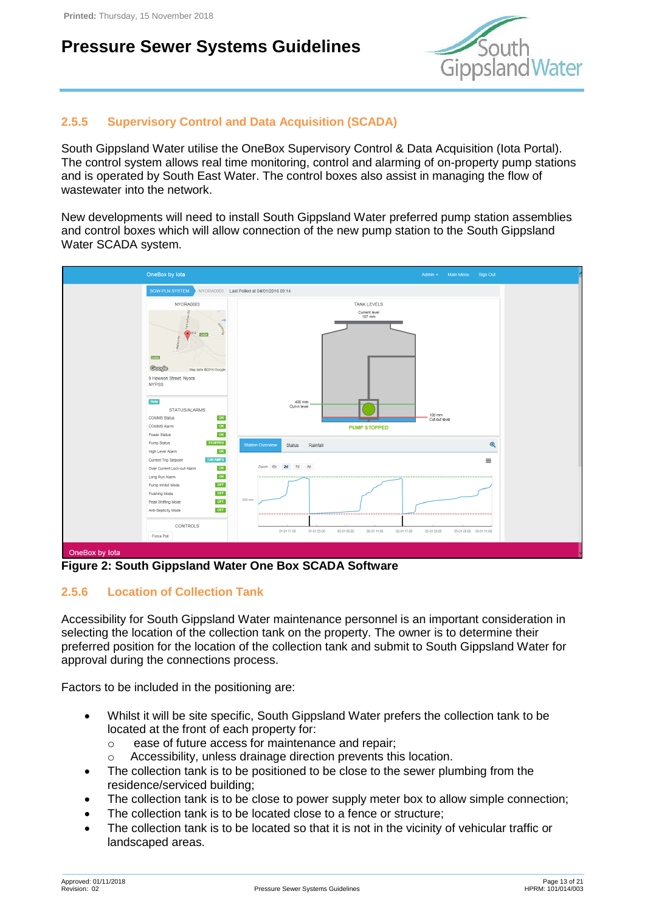

#### <span id="page-12-0"></span>**2.5.5 Supervisory Control and Data Acquisition (SCADA)**

South Gippsland Water utilise the OneBox Supervisory Control & Data Acquisition (Iota Portal). The control system allows real time monitoring, control and alarming of on-property pump stations and is operated by South East Water. The control boxes also assist in managing the flow of wastewater into the network.

New developments will need to install South Gippsland Water preferred pump station assemblies and control boxes which will allow connection of the new pump station to the South Gippsland Water SCADA system.



**Figure 2: South Gippsland Water One Box SCADA Software**

#### <span id="page-12-1"></span>**2.5.6 Location of Collection Tank**

Accessibility for South Gippsland Water maintenance personnel is an important consideration in selecting the location of the collection tank on the property. The owner is to determine their preferred position for the location of the collection tank and submit to South Gippsland Water for approval during the connections process.

Factors to be included in the positioning are:

- Whilst it will be site specific, South Gippsland Water prefers the collection tank to be located at the front of each property for:
	- o ease of future access for maintenance and repair;
	- o Accessibility, unless drainage direction prevents this location.
- The collection tank is to be positioned to be close to the sewer plumbing from the residence/serviced building;
- The collection tank is to be close to power supply meter box to allow simple connection;
- The collection tank is to be located close to a fence or structure;
- The collection tank is to be located so that it is not in the vicinity of vehicular traffic or landscaped areas.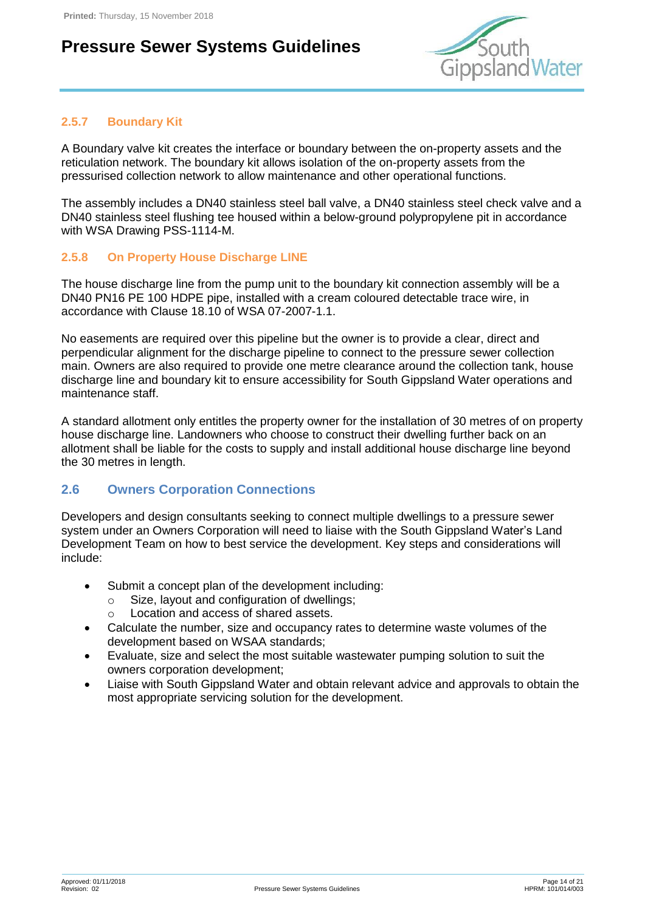

#### <span id="page-13-0"></span>**2.5.7 Boundary Kit**

A Boundary valve kit creates the interface or boundary between the on-property assets and the reticulation network. The boundary kit allows isolation of the on-property assets from the pressurised collection network to allow maintenance and other operational functions.

The assembly includes a DN40 stainless steel ball valve, a DN40 stainless steel check valve and a DN40 stainless steel flushing tee housed within a below-ground polypropylene pit in accordance with WSA Drawing PSS-1114-M.

#### <span id="page-13-1"></span>**2.5.8 On Property House Discharge LINE**

The house discharge line from the pump unit to the boundary kit connection assembly will be a DN40 PN16 PE 100 HDPE pipe, installed with a cream coloured detectable trace wire, in accordance with Clause 18.10 of WSA 07-2007-1.1.

No easements are required over this pipeline but the owner is to provide a clear, direct and perpendicular alignment for the discharge pipeline to connect to the pressure sewer collection main. Owners are also required to provide one metre clearance around the collection tank, house discharge line and boundary kit to ensure accessibility for South Gippsland Water operations and maintenance staff.

A standard allotment only entitles the property owner for the installation of 30 metres of on property house discharge line. Landowners who choose to construct their dwelling further back on an allotment shall be liable for the costs to supply and install additional house discharge line beyond the 30 metres in length.

#### <span id="page-13-2"></span>**2.6 Owners Corporation Connections**

Developers and design consultants seeking to connect multiple dwellings to a pressure sewer system under an Owners Corporation will need to liaise with the South Gippsland Water's Land Development Team on how to best service the development. Key steps and considerations will include:

- Submit a concept plan of the development including:
	- o Size, layout and configuration of dwellings;
	- o Location and access of shared assets.
- Calculate the number, size and occupancy rates to determine waste volumes of the development based on WSAA standards;
- Evaluate, size and select the most suitable wastewater pumping solution to suit the owners corporation development;
- Liaise with South Gippsland Water and obtain relevant advice and approvals to obtain the most appropriate servicing solution for the development.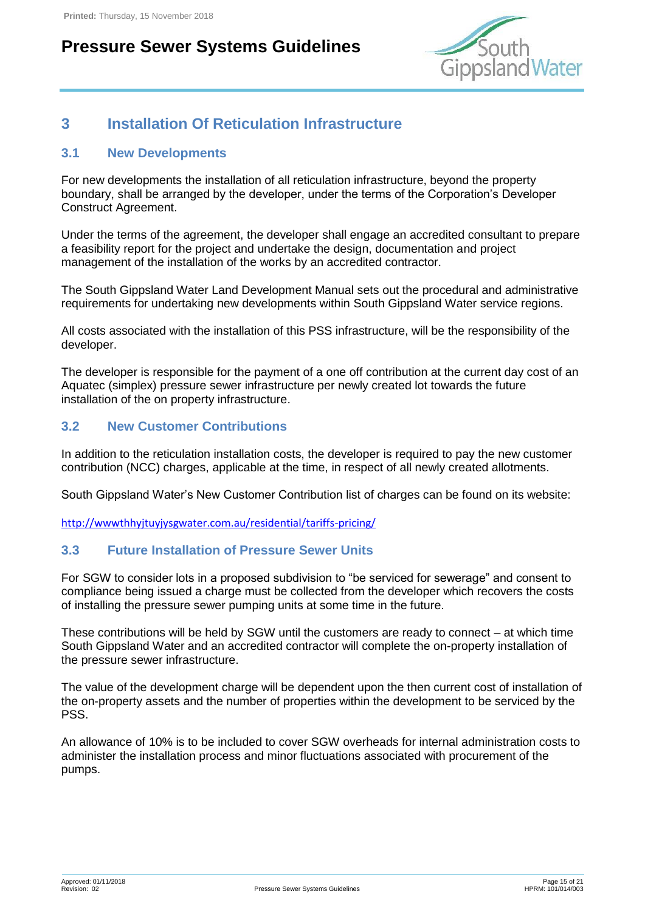

### <span id="page-14-0"></span>**3 Installation Of Reticulation Infrastructure**

#### <span id="page-14-1"></span>**3.1 New Developments**

For new developments the installation of all reticulation infrastructure, beyond the property boundary, shall be arranged by the developer, under the terms of the Corporation's Developer Construct Agreement.

Under the terms of the agreement, the developer shall engage an accredited consultant to prepare a feasibility report for the project and undertake the design, documentation and project management of the installation of the works by an accredited contractor.

The South Gippsland Water Land Development Manual sets out the procedural and administrative requirements for undertaking new developments within South Gippsland Water service regions.

All costs associated with the installation of this PSS infrastructure, will be the responsibility of the developer.

The developer is responsible for the payment of a one off contribution at the current day cost of an Aquatec (simplex) pressure sewer infrastructure per newly created lot towards the future installation of the on property infrastructure.

#### <span id="page-14-2"></span>**3.2 New Customer Contributions**

In addition to the reticulation installation costs, the developer is required to pay the new customer contribution (NCC) charges, applicable at the time, in respect of all newly created allotments.

South Gippsland Water's New Customer Contribution list of charges can be found on its website:

<http://wwwthhyjtuyjysgwater.com.au/residential/tariffs-pricing/>

#### <span id="page-14-3"></span>**3.3 Future Installation of Pressure Sewer Units**

For SGW to consider lots in a proposed subdivision to "be serviced for sewerage" and consent to compliance being issued a charge must be collected from the developer which recovers the costs of installing the pressure sewer pumping units at some time in the future.

These contributions will be held by SGW until the customers are ready to connect – at which time South Gippsland Water and an accredited contractor will complete the on-property installation of the pressure sewer infrastructure.

The value of the development charge will be dependent upon the then current cost of installation of the on-property assets and the number of properties within the development to be serviced by the PSS.

An allowance of 10% is to be included to cover SGW overheads for internal administration costs to administer the installation process and minor fluctuations associated with procurement of the pumps.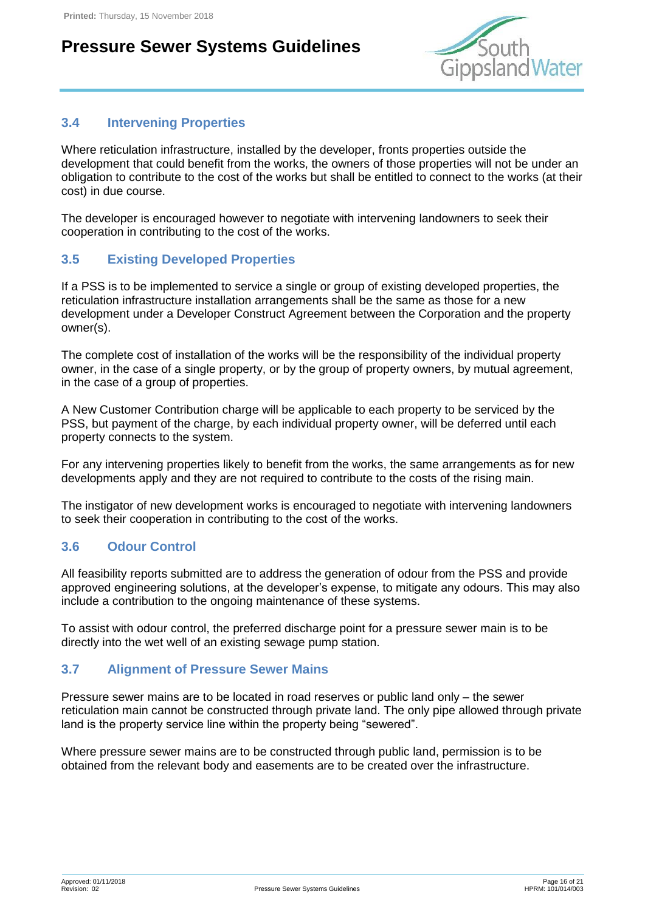

#### <span id="page-15-0"></span>**3.4 Intervening Properties**

Where reticulation infrastructure, installed by the developer, fronts properties outside the development that could benefit from the works, the owners of those properties will not be under an obligation to contribute to the cost of the works but shall be entitled to connect to the works (at their cost) in due course.

The developer is encouraged however to negotiate with intervening landowners to seek their cooperation in contributing to the cost of the works.

#### <span id="page-15-1"></span>**3.5 Existing Developed Properties**

If a PSS is to be implemented to service a single or group of existing developed properties, the reticulation infrastructure installation arrangements shall be the same as those for a new development under a Developer Construct Agreement between the Corporation and the property owner(s).

The complete cost of installation of the works will be the responsibility of the individual property owner, in the case of a single property, or by the group of property owners, by mutual agreement, in the case of a group of properties.

A New Customer Contribution charge will be applicable to each property to be serviced by the PSS, but payment of the charge, by each individual property owner, will be deferred until each property connects to the system.

For any intervening properties likely to benefit from the works, the same arrangements as for new developments apply and they are not required to contribute to the costs of the rising main.

The instigator of new development works is encouraged to negotiate with intervening landowners to seek their cooperation in contributing to the cost of the works.

#### <span id="page-15-2"></span>**3.6 Odour Control**

All feasibility reports submitted are to address the generation of odour from the PSS and provide approved engineering solutions, at the developer's expense, to mitigate any odours. This may also include a contribution to the ongoing maintenance of these systems.

To assist with odour control, the preferred discharge point for a pressure sewer main is to be directly into the wet well of an existing sewage pump station.

#### <span id="page-15-3"></span>**3.7 Alignment of Pressure Sewer Mains**

Pressure sewer mains are to be located in road reserves or public land only – the sewer reticulation main cannot be constructed through private land. The only pipe allowed through private land is the property service line within the property being "sewered".

Where pressure sewer mains are to be constructed through public land, permission is to be obtained from the relevant body and easements are to be created over the infrastructure.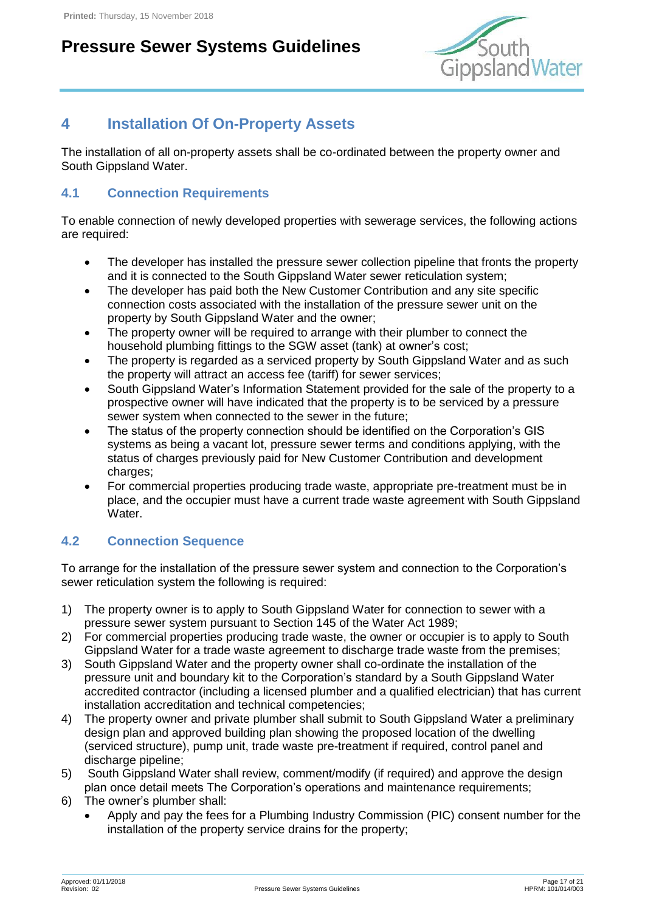

### <span id="page-16-0"></span>**4 Installation Of On-Property Assets**

The installation of all on-property assets shall be co-ordinated between the property owner and South Gippsland Water.

#### <span id="page-16-1"></span>**4.1 Connection Requirements**

To enable connection of newly developed properties with sewerage services, the following actions are required:

- The developer has installed the pressure sewer collection pipeline that fronts the property and it is connected to the South Gippsland Water sewer reticulation system;
- The developer has paid both the New Customer Contribution and any site specific connection costs associated with the installation of the pressure sewer unit on the property by South Gippsland Water and the owner;
- The property owner will be required to arrange with their plumber to connect the household plumbing fittings to the SGW asset (tank) at owner's cost;
- The property is regarded as a serviced property by South Gippsland Water and as such the property will attract an access fee (tariff) for sewer services;
- South Gippsland Water's Information Statement provided for the sale of the property to a prospective owner will have indicated that the property is to be serviced by a pressure sewer system when connected to the sewer in the future;
- The status of the property connection should be identified on the Corporation's GIS systems as being a vacant lot, pressure sewer terms and conditions applying, with the status of charges previously paid for New Customer Contribution and development charges;
- For commercial properties producing trade waste, appropriate pre-treatment must be in place, and the occupier must have a current trade waste agreement with South Gippsland Water.

#### <span id="page-16-2"></span>**4.2 Connection Sequence**

To arrange for the installation of the pressure sewer system and connection to the Corporation's sewer reticulation system the following is required:

- 1) The property owner is to apply to South Gippsland Water for connection to sewer with a pressure sewer system pursuant to Section 145 of the Water Act 1989;
- 2) For commercial properties producing trade waste, the owner or occupier is to apply to South Gippsland Water for a trade waste agreement to discharge trade waste from the premises;
- 3) South Gippsland Water and the property owner shall co-ordinate the installation of the pressure unit and boundary kit to the Corporation's standard by a South Gippsland Water accredited contractor (including a licensed plumber and a qualified electrician) that has current installation accreditation and technical competencies;
- 4) The property owner and private plumber shall submit to South Gippsland Water a preliminary design plan and approved building plan showing the proposed location of the dwelling (serviced structure), pump unit, trade waste pre-treatment if required, control panel and discharge pipeline;
- 5) South Gippsland Water shall review, comment/modify (if required) and approve the design plan once detail meets The Corporation's operations and maintenance requirements;
- 6) The owner's plumber shall:
	- Apply and pay the fees for a Plumbing Industry Commission (PIC) consent number for the installation of the property service drains for the property;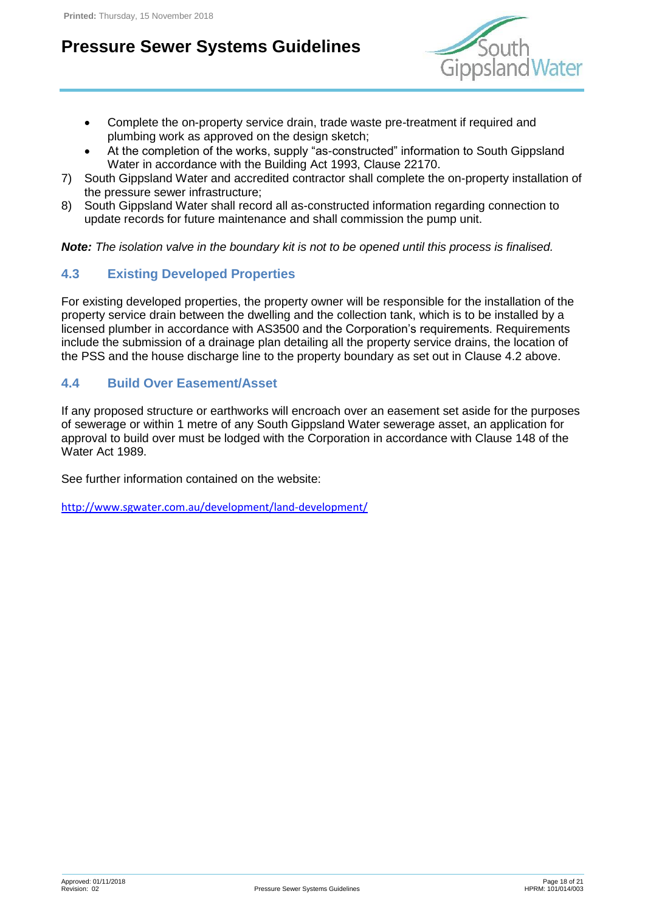

- Complete the on-property service drain, trade waste pre-treatment if required and plumbing work as approved on the design sketch;
- At the completion of the works, supply "as-constructed" information to South Gippsland Water in accordance with the Building Act 1993, Clause 22170.
- 7) South Gippsland Water and accredited contractor shall complete the on-property installation of the pressure sewer infrastructure;
- 8) South Gippsland Water shall record all as-constructed information regarding connection to update records for future maintenance and shall commission the pump unit.

*Note: The isolation valve in the boundary kit is not to be opened until this process is finalised.*

#### <span id="page-17-0"></span>**4.3 Existing Developed Properties**

For existing developed properties, the property owner will be responsible for the installation of the property service drain between the dwelling and the collection tank, which is to be installed by a licensed plumber in accordance with AS3500 and the Corporation's requirements. Requirements include the submission of a drainage plan detailing all the property service drains, the location of the PSS and the house discharge line to the property boundary as set out in Clause 4.2 above.

#### <span id="page-17-1"></span>**4.4 Build Over Easement/Asset**

If any proposed structure or earthworks will encroach over an easement set aside for the purposes of sewerage or within 1 metre of any South Gippsland Water sewerage asset, an application for approval to build over must be lodged with the Corporation in accordance with Clause 148 of the Water Act 1989.

See further information contained on the website:

<http://www.sgwater.com.au/development/land-development/>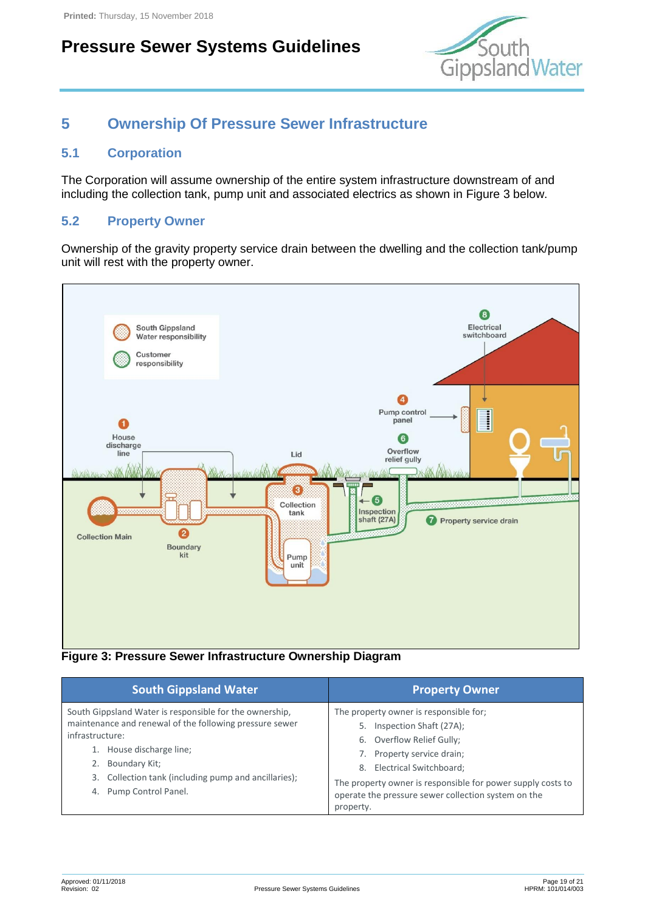

### <span id="page-18-0"></span>**5 Ownership Of Pressure Sewer Infrastructure**

#### <span id="page-18-1"></span>**5.1 Corporation**

The Corporation will assume ownership of the entire system infrastructure downstream of and including the collection tank, pump unit and associated electrics as shown in [Figure 3](#page-18-3) below.

#### <span id="page-18-2"></span>**5.2 Property Owner**

Ownership of the gravity property service drain between the dwelling and the collection tank/pump unit will rest with the property owner.



<span id="page-18-3"></span>**Figure 3: Pressure Sewer Infrastructure Ownership Diagram**

| <b>South Gippsland Water</b>                                                                                                                                                                                                                                            | <b>Property Owner</b>                                                                                                                                                                                                                                                                               |
|-------------------------------------------------------------------------------------------------------------------------------------------------------------------------------------------------------------------------------------------------------------------------|-----------------------------------------------------------------------------------------------------------------------------------------------------------------------------------------------------------------------------------------------------------------------------------------------------|
| South Gippsland Water is responsible for the ownership,<br>maintenance and renewal of the following pressure sewer<br>infrastructure:<br>House discharge line;<br>Boundary Kit;<br>Collection tank (including pump and ancillaries);<br>3.<br>Pump Control Panel.<br>4. | The property owner is responsible for;<br>Inspection Shaft (27A);<br>5.<br>6. Overflow Relief Gully;<br>Property service drain;<br>Electrical Switchboard;<br>8.<br>The property owner is responsible for power supply costs to<br>operate the pressure sewer collection system on the<br>property. |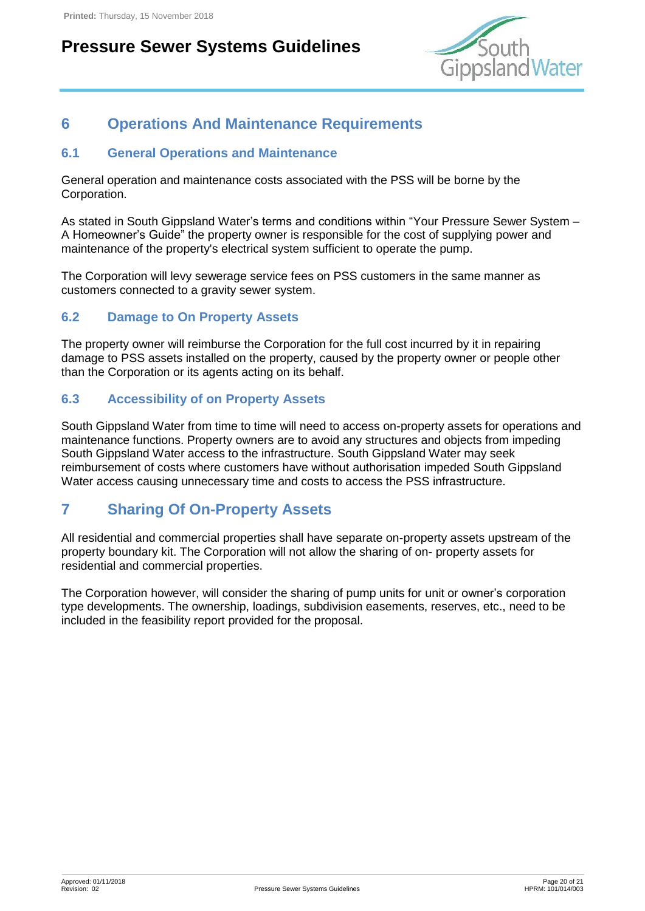

### <span id="page-19-0"></span>**6 Operations And Maintenance Requirements**

#### <span id="page-19-1"></span>**6.1 General Operations and Maintenance**

General operation and maintenance costs associated with the PSS will be borne by the Corporation.

As stated in South Gippsland Water's terms and conditions within "Your Pressure Sewer System – A Homeowner's Guide" the property owner is responsible for the cost of supplying power and maintenance of the property's electrical system sufficient to operate the pump.

The Corporation will levy sewerage service fees on PSS customers in the same manner as customers connected to a gravity sewer system.

#### <span id="page-19-2"></span>**6.2 Damage to On Property Assets**

The property owner will reimburse the Corporation for the full cost incurred by it in repairing damage to PSS assets installed on the property, caused by the property owner or people other than the Corporation or its agents acting on its behalf.

#### <span id="page-19-3"></span>**6.3 Accessibility of on Property Assets**

South Gippsland Water from time to time will need to access on-property assets for operations and maintenance functions. Property owners are to avoid any structures and objects from impeding South Gippsland Water access to the infrastructure. South Gippsland Water may seek reimbursement of costs where customers have without authorisation impeded South Gippsland Water access causing unnecessary time and costs to access the PSS infrastructure.

#### <span id="page-19-4"></span>**7 Sharing Of On-Property Assets**

All residential and commercial properties shall have separate on-property assets upstream of the property boundary kit. The Corporation will not allow the sharing of on- property assets for residential and commercial properties.

The Corporation however, will consider the sharing of pump units for unit or owner's corporation type developments. The ownership, loadings, subdivision easements, reserves, etc., need to be included in the feasibility report provided for the proposal.